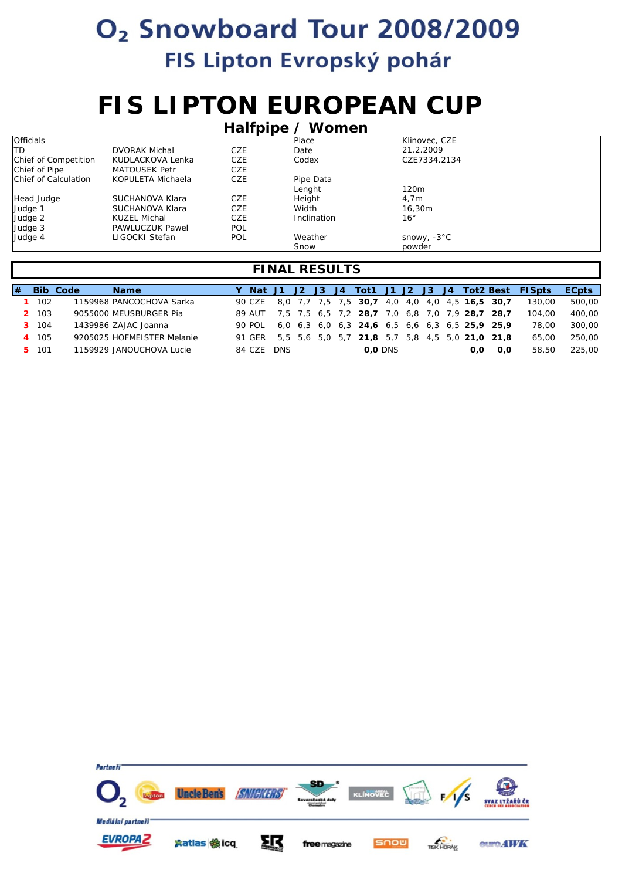### **FIS LIPTON EUROPEAN CUP**

| Halfpipe / Women     |                        |     |             |                  |  |  |  |  |  |  |  |
|----------------------|------------------------|-----|-------------|------------------|--|--|--|--|--|--|--|
| <b>Officials</b>     |                        |     | Place       | Klinovec, CZE    |  |  |  |  |  |  |  |
| <b>ITD</b>           | <b>DVORAK Michal</b>   | CZE | Date        | 21.2.2009        |  |  |  |  |  |  |  |
| Chief of Competition | KUDLACKOVA Lenka       | CZE | Codex       | CZE7334.2134     |  |  |  |  |  |  |  |
| Chief of Pipe        | MATOUSEK Petr          | CZE |             |                  |  |  |  |  |  |  |  |
| Chief of Calculation | KOPULETA Michaela      | CZE | Pipe Data   |                  |  |  |  |  |  |  |  |
|                      |                        |     | Lenght      | 120 <sub>m</sub> |  |  |  |  |  |  |  |
| Head Judge           | SUCHANOVA Klara        | CZE | Height      | 4.7 <sub>m</sub> |  |  |  |  |  |  |  |
| Judge 1              | SUCHANOVA Klara        | CZE | Width       | 16,30m           |  |  |  |  |  |  |  |
| Judge 2              | KUZEL Michal           | CZE | Inclination | 16 <sup>°</sup>  |  |  |  |  |  |  |  |
| Judge 3              | <b>PAWLUCZUK Pawel</b> | POL |             |                  |  |  |  |  |  |  |  |
| Judge 4              | LIGOCKI Stefan         | POL | Weather     | snowy, -3°C      |  |  |  |  |  |  |  |
|                      |                        |     | Snow        | powder           |  |  |  |  |  |  |  |

| l# |           | <b>Bib Code</b> | <b>Name</b>                |            |  |  |                                                       |                |  |     |     | Y Nat J1 J2 J3 J4 Tot1 J1 J2 J3 J4 Tot2 Best FISpts | <b>ECpts</b> |
|----|-----------|-----------------|----------------------------|------------|--|--|-------------------------------------------------------|----------------|--|-----|-----|-----------------------------------------------------|--------------|
|    | $1 \t102$ |                 | 1159968 PANCOCHOVA Sarka   | 90 CZE     |  |  | 8,0 7,7 7,5 7,5 30,7 4,0 4,0 4,0 4,5 16,5 30,7        |                |  |     |     | 130.00                                              | 500,00       |
|    | 2 103     |                 | 9055000 MEUSBURGER Pia     | 89 AUT     |  |  | 7,5 7,5 6,5 7,2 28,7 7,0 6,8 7,0 7,9 28,7 28,7        |                |  |     |     | 104.00                                              | 400,00       |
|    | 3 104     |                 | 1439986 ZAJAC Joanna       | 90 POL     |  |  | 6,0 6,3 6,0 6,3 24,6 6,5 6,6 6,3 6,5 25,9 25,9        |                |  |     |     | 78.00                                               | 300.00       |
|    | 4 105     |                 | 9205025 HOFMEISTER Melanie |            |  |  | 91 GER 5.5 5.6 5.0 5.7 21.8 5.7 5.8 4.5 5.0 21.0 21.8 |                |  |     |     | 65.00                                               | 250,00       |
|    | 5 101     |                 | 1159929 JANOUCHOVA Lucie   | 84 CZE DNS |  |  |                                                       | <b>0.0 DNS</b> |  | 0.0 | 0.0 | 58.50                                               | 225.00       |

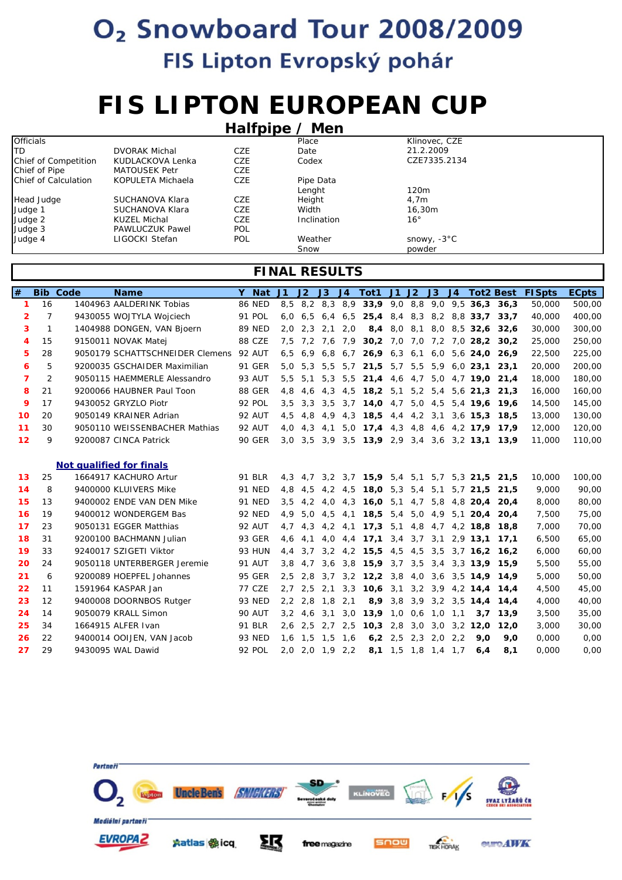# **FIS LIPTON EUROPEAN CUP**

|                      | Halfpipe $\angle$ Men  |            |             |                       |  |  |  |  |  |  |  |  |  |
|----------------------|------------------------|------------|-------------|-----------------------|--|--|--|--|--|--|--|--|--|
| <b>Officials</b>     |                        |            | Place       | Klinovec, CZE         |  |  |  |  |  |  |  |  |  |
| ITD.                 | <b>DVORAK Michal</b>   | CZE        | Date        | 21.2.2009             |  |  |  |  |  |  |  |  |  |
| Chief of Competition | KUDLACKOVA Lenka       | CZE        | Codex       | CZE7335.2134          |  |  |  |  |  |  |  |  |  |
| Chief of Pipe        | MATOUSEK Petr          | CZE        |             |                       |  |  |  |  |  |  |  |  |  |
| Chief of Calculation | KOPULETA Michaela      | CZE        | Pipe Data   |                       |  |  |  |  |  |  |  |  |  |
|                      |                        |            | Lenght      | 120 <sub>m</sub>      |  |  |  |  |  |  |  |  |  |
| Head Judge           | SUCHANOVA Klara        | CZE        | Height      | 4.7 <sub>m</sub>      |  |  |  |  |  |  |  |  |  |
| Judge 1              | SUCHANOVA Klara        | CZE        | Width       | 16.30m                |  |  |  |  |  |  |  |  |  |
| Judge 2              | KUZEL Michal           | CZE        | Inclination | $16^{\circ}$          |  |  |  |  |  |  |  |  |  |
| Judge 3              | <b>PAWLUCZUK Pawel</b> | <b>POL</b> |             |                       |  |  |  |  |  |  |  |  |  |
| Judge 4              | LIGOCKI Stefan         | <b>POL</b> | Weather     | snowy, $-3^{\circ}$ C |  |  |  |  |  |  |  |  |  |
|                      |                        |            | Snow        | powder                |  |  |  |  |  |  |  |  |  |

| #                | <b>Bib</b>   | Code | <b>Name</b>                     | Y Nat         | J1            | J2              | J3  | J <sub>4</sub>  | Tot1                                           | $J1$ $J2$ |     | J3                  | J <sub>4</sub> |                               | <b>Tot2 Best</b>               | <b>FISpts</b> | <b>ECpts</b> |
|------------------|--------------|------|---------------------------------|---------------|---------------|-----------------|-----|-----------------|------------------------------------------------|-----------|-----|---------------------|----------------|-------------------------------|--------------------------------|---------------|--------------|
| 1                | 16           |      | 1404963 AALDERINK Tobias        | <b>86 NED</b> |               |                 |     |                 | 8,5 8,2 8,3 8,9 33,9 9,0 8,8 9,0 9,5 36,3 36,3 |           |     |                     |                |                               |                                | 50,000        | 500,00       |
| $\overline{2}$   | 7            |      | 9430055 WOJTYLA Wojciech        | 91 POL        | 6.0           | 6.5             |     | $6.4\quad 6.5$  |                                                |           |     |                     |                |                               | 25,4 8,4 8,3 8,2 8,8 33,7 33,7 | 40,000        | 400,00       |
| 3                | $\mathbf{1}$ |      | 1404988 DONGEN, VAN Bjoern      | <b>89 NED</b> | 2.0           | 2.3             | 2.1 | 2.0             |                                                | $8,4$ 8.0 | 8,1 |                     |                |                               | 8,0 8,5 32,6 32,6              | 30,000        | 300,00       |
| $\boldsymbol{4}$ | 15           |      | 9150011 NOVAK Matej             | 88 CZE        |               | 7.5 7.2 7.6 7.9 |     |                 |                                                |           |     |                     |                |                               | 30,2 7,0 7,0 7,2 7,0 28,2 30,2 | 25,000        | 250,00       |
| 5                | 28           |      | 9050179 SCHATTSCHNEIDER Clemens | <b>92 AUT</b> | 6.5           | 6.9             |     | $6.8\quad 6.7$  |                                                |           |     |                     |                | 26,9 6,3 6,1 6,0 5,6 24,0     | 26.9                           | 22,500        | 225,00       |
| 6                | 5            |      | 9200035 GSCHAIDER Maximilian    | <b>91 GER</b> |               | $5.0\quad 5.3$  | 5.5 | 5.7             | <b>21.5</b> 5.7 5.5 5.9                        |           |     |                     |                | $6,0$ 23,1                    | 23.1                           | 20,000        | 200,00       |
| $\overline{7}$   | 2            |      | 9050115 HAEMMERLE Alessandro    | <b>93 AUT</b> | 5,5           | 5.1             | 5.3 | 5,5             | $21,4$ 4,6                                     |           |     |                     |                | 4,7 5,0 4,7 19,0              | 21.4                           | 18,000        | 180,00       |
| 8                | 21           |      | 9200066 HAUBNER Paul Toon       | 88 GER        | 4.8           | 4.6             | 4.3 | 4,5             | <b>18,2</b> 5,1 5,2 5,4                        |           |     |                     |                | $5.6$ 21.3                    | 21.3                           | 16,000        | 160,00       |
| 9                | 17           |      | 9430052 GRYZLO Piotr            | 92 POL        | 3.5           | 3.3             |     | $3,5$ $3,7$     | 14,04,7                                        |           |     | $5,0$ 4,5           |                |                               | 5,4 19,6 19,6                  | 14,500        | 145,00       |
| 10               | 20           |      | 9050149 KRAINER Adrian          | 92 AUT        | 4.5           | 4.8             | 4.9 | 4,3             | $18,5$ 4,4                                     |           |     | $4,2$ 3,1           |                | $3,6$ 15,3                    | 18.5                           | 13,000        | 130,00       |
| 11               | 30           |      | 9050110 WEISSENBACHER Mathias   | <b>92 AUT</b> | 4,0           | 4.3             | 4,1 | 5,0             | $17,4$ 4,3                                     |           |     |                     |                |                               | 4,8 4,6 4,2 17,9 17,9          | 12,000        | 120,00       |
| 12               | 9            |      | 9200087 CINCA Patrick           | <b>90 GER</b> | 3.0           | 3.5             | 3,9 | 3,5             | 13,92,9                                        |           |     |                     |                | $3,4$ $3,6$ $3,2$ <b>13,1</b> | 13.9                           | 11,000        | 110,00       |
|                  |              |      |                                 |               |               |                 |     |                 |                                                |           |     |                     |                |                               |                                |               |              |
|                  |              |      | Not qualified for finals        |               |               |                 |     |                 |                                                |           |     |                     |                |                               |                                |               |              |
| 13               | 25           |      | 1664917 KACHURO Artur           | 91 BLR        |               |                 |     |                 | 4,3 4,7 3,2 3,7 15,9 5,4 5,1 5,7 5,3 21,5      |           |     |                     |                |                               | 21.5                           | 10,000        | 100,00       |
| 14               | 8            |      | 9400000 KLUIVERS Mike           | 91 NED        | 4,8           | 4,5             |     | $4,2$ $4,5$     | <b>18,0</b> 5,3 5,4 5,1                        |           |     |                     |                | $5.7$ 21.5                    | 21,5                           | 9,000         | 90,00        |
| 15               | 13           |      | 9400002 ENDE VAN DEN Mike       | 91 NED        | 3,5           | 4,2             |     | $4,0$ $4,3$     | 16,05,1                                        |           |     | 4,7 5,8             |                | 4,8 20,4                      | 20.4                           | 8,000         | 80,00        |
| 16               | 19           |      | 9400012 WONDERGEM Bas           | <b>92 NED</b> | 4,9           | 5,0             | 4,5 | 4,1             | 18,55,4                                        |           |     | 5,04,9              |                | $5,1$ 20,4                    | 20,4                           | 7,500         | 75,00        |
| 17               | 23           |      | 9050131 EGGER Matthias          | 92 AUT        | 4.7           | 4.3             | 4,2 | 4.1             | $17,3$ 5.1                                     |           |     | 4,8 4,7             |                | $4,2$ 18,8                    | 18.8                           | 7,000         | 70,00        |
| 18               | 31           |      | 9200100 BACHMANN Julian         | 93 GER        | 4.6           | 4.1             |     | $4.0 \quad 4.4$ | $17,1$ 3,4 3,7 3,1                             |           |     |                     |                | $2,9$ 13,1                    | 17.1                           | 6,500         | 65,00        |
| 19               | 33           |      | 9240017 SZIGETI Viktor          | 93 HUN        | 4, 4          | 3.7             | 3,2 | 4,2             | $15,5$ 4,5 4,5                                 |           |     | 3,5                 |                | $3.7$ 16.2                    | 16.2                           | 6,000         | 60,00        |
| 20               | 24           |      | 9050118 UNTERBERGER Jeremie     | <b>91 AUT</b> |               | $3.8 \quad 4.7$ |     | $3,6$ $3,8$     |                                                |           |     |                     |                |                               | 15,9 3,7 3,5 3,4 3,3 13,9 15,9 | 5,500         | 55,00        |
| 21               | 6            |      | 9200089 HOEPFEL Johannes        | <b>95 GER</b> | 2.5           | 2.8             | 3.7 |                 | $3,2$ <b>12,2</b> $3,8$ 4,0                    |           |     |                     |                | $3.6$ $3.5$ <b>14.9</b>       | 14.9                           | 5,000         | 50,00        |
| 22               | 11           |      | 1591964 KASPAR Jan              | <b>77 CZE</b> | 2.7           | 2,5             | 2,1 | 3,3             | $10,6$ 3,1 3,2 3,9                             |           |     |                     |                | $4,2$ 14,4                    | 14.4                           | 4,500         | 45,00        |
| 23               | 12           |      | 9400008 DOORNBOS Rutger         | <b>93 NED</b> | $2.2^{\circ}$ | 2.8             | 1.8 | 2.1             |                                                | 8,9,3,8   | 3,9 |                     |                | $3,2$ $3,5$ <b>14,4</b>       | 14.4                           | 4.000         | 40,00        |
| 24               | 14           |      | 9050079 KRALL Simon             | <b>90 AUT</b> |               | $3,2$ 4,6       | 3,1 | 3,0             | $13,9$ 1,0                                     |           |     | $0,6$ 1,0           | 1,1            | 3,7                           | 13,9                           | 3,500         | 35,00        |
| 25               | 34           |      | 1664915 ALFER Ivan              | 91 BLR        | 2.6           | 2.5             | 2,7 | 2,5             | $10,3$ 2.8                                     |           | 3,0 | 3,0                 |                | 3,2 12,0                      | 12,0                           | 3,000         | 30,00        |
| 26               | 22           |      | 9400014 OOIJEN, VAN Jacob       | <b>93 NED</b> | 1.6           | 1.5             | 1.5 | 1.6             |                                                | 6,2,2,5   | 2.3 | 2.0                 | 2.2            | 9.0                           | 9.0                            | 0.000         | 0,00         |
| 27               | 29           |      | 9430095 WAL Dawid               | 92 POL        |               | 2,0 2,0 1,9 2,2 |     |                 |                                                |           |     | 8,1 1,5 1,8 1,4 1,7 |                | 6,4                           | 8,1                            | 0,000         | 0,00         |

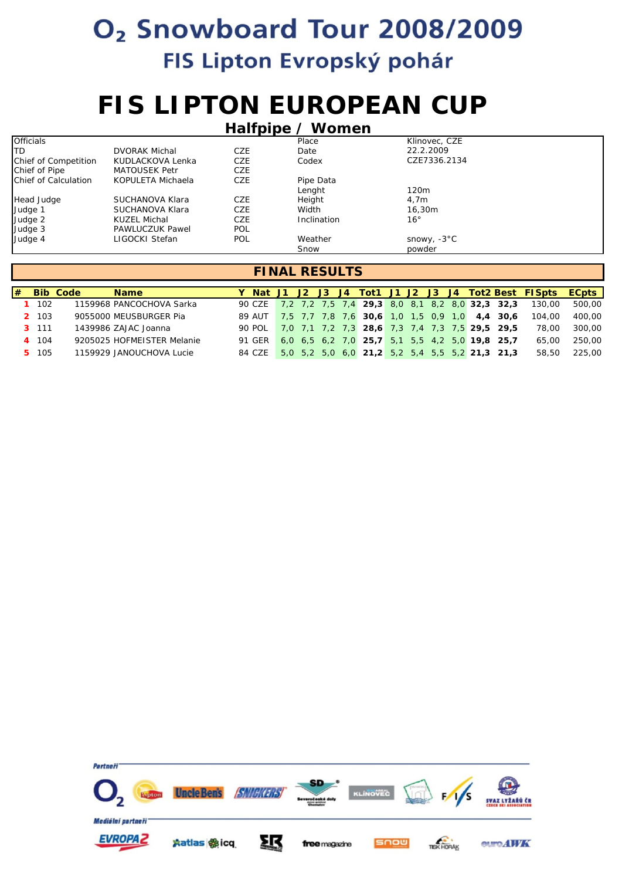# **FIS LIPTON EUROPEAN CUP**

|                      | Halfpipe / Women       |            |             |                       |  |  |  |  |  |  |  |  |  |
|----------------------|------------------------|------------|-------------|-----------------------|--|--|--|--|--|--|--|--|--|
| <b>Officials</b>     |                        |            | Place       | Klinovec, CZE         |  |  |  |  |  |  |  |  |  |
| ITD.                 | <b>DVORAK Michal</b>   | CZE        | Date        | 22.2.2009             |  |  |  |  |  |  |  |  |  |
| Chief of Competition | KUDLACKOVA Lenka       | CZE        | Codex       | CZE7336.2134          |  |  |  |  |  |  |  |  |  |
| Chief of Pipe        | <b>MATOUSEK Petr</b>   | CZE        |             |                       |  |  |  |  |  |  |  |  |  |
| Chief of Calculation | KOPULETA Michaela      | <b>CZE</b> | Pipe Data   |                       |  |  |  |  |  |  |  |  |  |
|                      |                        |            | Lenght      | 120 <sub>m</sub>      |  |  |  |  |  |  |  |  |  |
| Head Judge           | SUCHANOVA Klara        | CZE        | Height      | 4.7 <sub>m</sub>      |  |  |  |  |  |  |  |  |  |
| Judge 1              | SUCHANOVA Klara        | <b>CZE</b> | Width       | 16,30m                |  |  |  |  |  |  |  |  |  |
| Judge 2              | KUZEL Michal           | CZE        | Inclination | $16^{\circ}$          |  |  |  |  |  |  |  |  |  |
| Judge 3              | <b>PAWLUCZUK Pawel</b> | POL        |             |                       |  |  |  |  |  |  |  |  |  |
| Judge 4              | LIGOCKI Stefan         | <b>POL</b> | Weather     | snowy, $-3^{\circ}$ C |  |  |  |  |  |  |  |  |  |
|                      |                        |            | Snow        | powder                |  |  |  |  |  |  |  |  |  |

|           | $#$ Bib Code | <b>Name</b>                |          |  |  |                                                      |  |  |  | Y Nat J1 J2 J3 J4 Tot1 J1 J2 J3 J4 Tot2 Best FISpts ECpts    |        |
|-----------|--------------|----------------------------|----------|--|--|------------------------------------------------------|--|--|--|--------------------------------------------------------------|--------|
| $1 \t102$ |              | 1159968 PANCOCHOVA Sarka   |          |  |  |                                                      |  |  |  | 90 CZE 7,2 7,2 7,5 7,4 29,3 8,0 8,1 8,2 8,0 32,3 32,3 130,00 | 500,00 |
| 2 103     |              | 9055000 MEUSBURGER Pia     |          |  |  | 89 AUT 7,5 7,7 7,8 7,6 30,6 1,0 1,5 0,9 1,0 4,4 30,6 |  |  |  | 104.00                                                       | 400,00 |
| 3 111     |              | 1439986 ZAJAC Joanna       | 90. POL  |  |  | 7.0 7.1 7.2 7.3 28.6 7.3 7.4 7.3 7.5 29.5 29.5       |  |  |  | 78.00                                                        | 300.00 |
| 4 104     |              | 9205025 HOFMEISTER Melanie | 91 GER 1 |  |  | 6.0 6.5 6.2 7.0 25.7 5.1 5.5 4.2 5.0 19.8 25.7       |  |  |  | 65.00                                                        | 250,00 |
| 5 105     |              | 1159929 JANOUCHOVA Lucie   | 84 CZE   |  |  | $5,0$ 5,2 5,0 6,0 21,2 5,2 5,4 5,5 5,2 21,3 21,3     |  |  |  | 58,50                                                        | 225,00 |